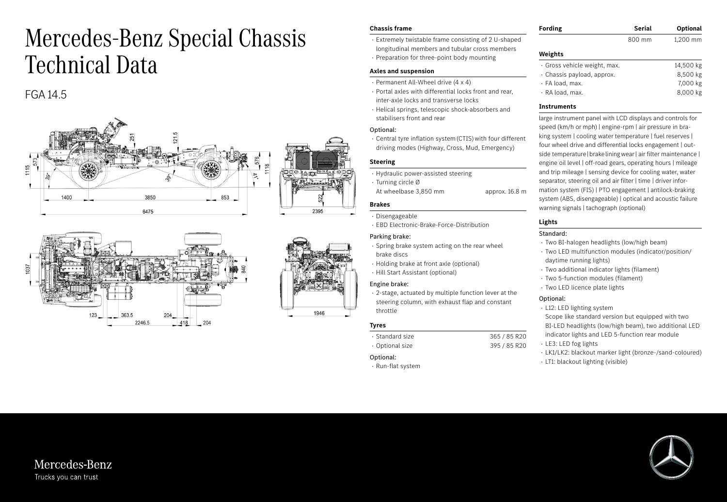# Mercedes-Benz Special Chassis Technical Data

# FGA 14.5







#### **Chassis frame**

- · Extremely twistable frame consisting of 2 U-shaped longitudinal members and tubular cross members
- · Preparation for three-point body mounting

#### **Axles and suspension**

- · Permanent All-Wheel drive (4 x 4)
- · Portal axles with differential locks front and rear, inter-axle locks and transverse locks
- · Helical springs, telescopic shock-absorbers and stabilisers front and rear

# Optional:

· Central tyre inflation system (CTIS) with four different driving modes (Highway, Cross, Mud, Emergency)

# **Steering**

- · Hydraulic power-assisted steering
- · Turning circle Ø
- At wheelbase 3,850 mm approx. 16.8 m

# **Brakes**

- · Disengageable
- · EBD Electronic-Brake-Force-Distribution

# Parking brake:

- · Spring brake system acting on the rear wheel brake discs
- · Holding brake at front axle (optional)
- · Hill Start Assistant (optional)

# Engine brake:

· 2-stage, actuated by multiple function lever at the steering column, with exhaust flap and constant throttle

#### **Tyres**

| • Standard size- | 365 / 85 R20 |
|------------------|--------------|
| • Optional size  | 395 / 85 R20 |

#### Optional:

· Run-flat system

| <b>Fording</b> | Serial | Optional |
|----------------|--------|----------|
|                | 800 mm | 1,200 mm |

# **Weights**

| · Gross vehicle weight, max. | 14,500 kg |
|------------------------------|-----------|
| · Chassis payload, approx.   | 8.500 kg  |
| · FA load, max.              | 7,000 kg  |
| · RA load, max.              | 8,000 kg  |

### **Instruments**

large instrument panel with LCD displays and controls for speed (km/h or mph) | engine-rpm | air pressure in braking system | cooling water temperature | fuel reserves | four wheel drive and differential locks engagement | outside temperature | brake lining wear | air filter maintenance | engine oil level | off-road gears, operating hours | mileage and trip mileage | sensing device for cooling water, water separator, steering oil and air filter | time | driver information system (FIS) | PTO engagement | antilock-braking system (ABS, disengageable) | optical and acoustic failure warning signals | tachograph (optional)

# **Lights**

# Standard:

- · Two BI-halogen headlights (low/high beam)
- · Two LED multifunction modules (indicator/position/ daytime running lights)
- · Two additional indicator lights (filament)
- · Two 5-function modules (filament)
- · Two LED licence plate lights

# Optional:

- · L12: LED lighting system
- Scope like standard version but equipped with two BI-LED headlights (low/high beam), two additional LED
- indicator lights and LED 5-function rear module · LE3: LED fog lights
- · LK1/LK2: blackout marker light (bronze-/sand-coloured)
- · LT1: blackout lighting (visible)